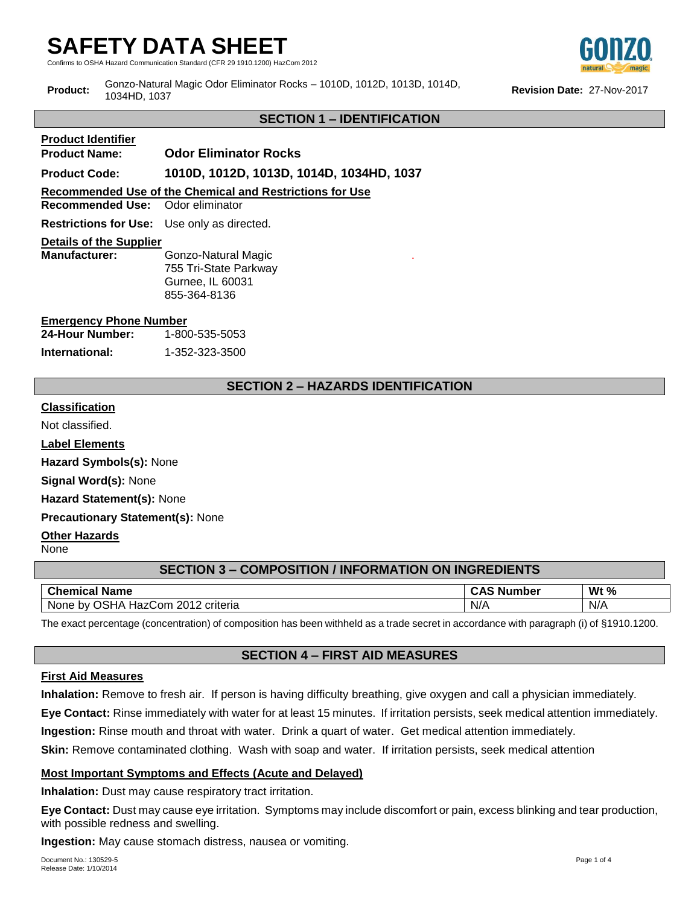$\sin S$ tandard (CER 29 1910 1200) HazCom 2012



## **SECTION 1 – IDENTIFICATION**

## **Product Identifier**

## **Product Name: Odor Eliminator Rocks**

## **Product Code: 1010D, 1012D, 1013D, 1014D, 1034HD, 1037**

#### **Recommended Use of the Chemical and Restrictions for Use**

**Recommended Use:** Odor eliminator

**Restrictions for Use:** Use only as directed.

#### **Details of the Supplier**

**Manufacturer:** Gonzo-Natural Magic 755 Tri-State Parkway Gurnee, IL 60031 855-364-8136

#### **Emergency Phone Number**

| 24-Hour Number:<br>1-800-535-5053 |
|-----------------------------------|
|-----------------------------------|

**International:** 1-352-323-3500

### **SECTION 2 – HAZARDS IDENTIFICATION**

.

### **Classification**

Not classified.

**Label Elements**

**Hazard Symbols(s):** None

**Signal Word(s):** None

**Hazard Statement(s):** None

**Precautionary Statement(s):** None

#### **Other Hazards**

None

## **SECTION 3 – COMPOSITION / INFORMATION ON INGREDIENTS**

| <b>Chemical Name</b>                                  | . Number | Wt $%$ |
|-------------------------------------------------------|----------|--------|
| つSHA<br>2012<br>criteria<br>HazCom<br>None<br>hv<br>ັ | N/A      | N/A    |

The exact percentage (concentration) of composition has been withheld as a trade secret in accordance with paragraph (i) of §1910.1200.

### **SECTION 4 – FIRST AID MEASURES**

#### **First Aid Measures**

**Inhalation:** Remove to fresh air. If person is having difficulty breathing, give oxygen and call a physician immediately.

**Eye Contact:** Rinse immediately with water for at least 15 minutes. If irritation persists, seek medical attention immediately.

**Ingestion:** Rinse mouth and throat with water. Drink a quart of water. Get medical attention immediately.

**Skin:** Remove contaminated clothing. Wash with soap and water. If irritation persists, seek medical attention

#### **Most Important Symptoms and Effects (Acute and Delayed)**

**Inhalation:** Dust may cause respiratory tract irritation.

**Eye Contact:** Dust may cause eye irritation. Symptoms may include discomfort or pain, excess blinking and tear production, with possible redness and swelling.

**Ingestion:** May cause stomach distress, nausea or vomiting.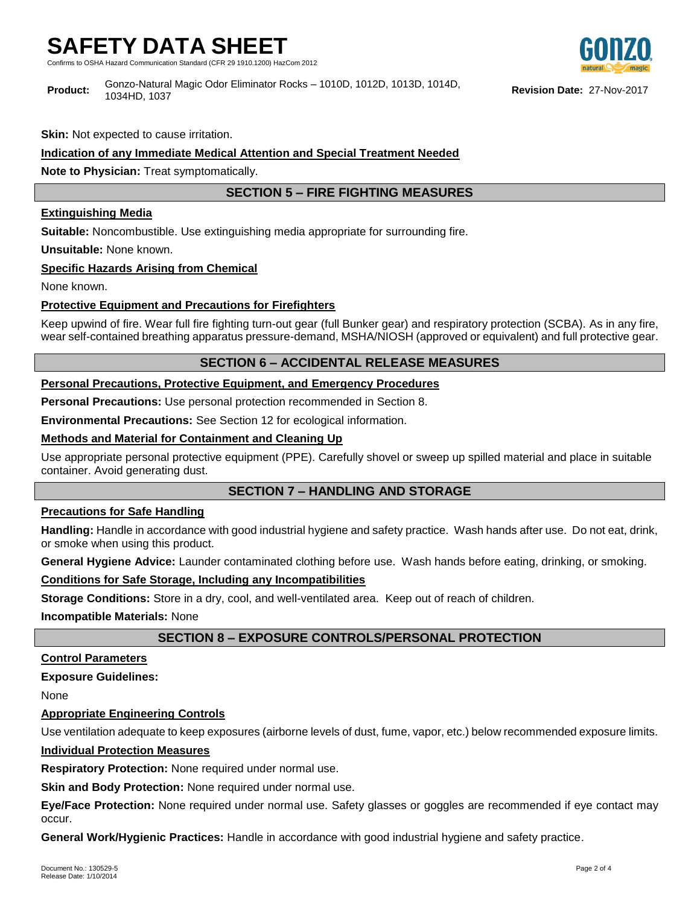Standard (CER 29 1910 1200) HazCom 2012



**Product:** Gonzo-Natural Magic Odor Eliminator Rocks – 1010D, 1012D, 1013D, 1014D, 1034HD, 1037 **Revision Date:** 27-Nov-2017

**Skin:** Not expected to cause irritation.

## **Indication of any Immediate Medical Attention and Special Treatment Needed**

**Note to Physician:** Treat symptomatically.

## **SECTION 5 – FIRE FIGHTING MEASURES**

## **Extinguishing Media**

**Suitable:** Noncombustible. Use extinguishing media appropriate for surrounding fire.

**Unsuitable:** None known.

## **Specific Hazards Arising from Chemical**

None known.

## **Protective Equipment and Precautions for Firefighters**

Keep upwind of fire. Wear full fire fighting turn-out gear (full Bunker gear) and respiratory protection (SCBA). As in any fire, wear self-contained breathing apparatus pressure-demand, MSHA/NIOSH (approved or equivalent) and full protective gear.

## **SECTION 6 – ACCIDENTAL RELEASE MEASURES**

## **Personal Precautions, Protective Equipment, and Emergency Procedures**

**Personal Precautions:** Use personal protection recommended in Section 8.

**Environmental Precautions:** See Section 12 for ecological information.

## **Methods and Material for Containment and Cleaning Up**

Use appropriate personal protective equipment (PPE). Carefully shovel or sweep up spilled material and place in suitable container. Avoid generating dust.

## **SECTION 7 – HANDLING AND STORAGE**

### **Precautions for Safe Handling**

**Handling:** Handle in accordance with good industrial hygiene and safety practice. Wash hands after use. Do not eat, drink, or smoke when using this product.

**General Hygiene Advice:** Launder contaminated clothing before use. Wash hands before eating, drinking, or smoking.

## **Conditions for Safe Storage, Including any Incompatibilities**

**Storage Conditions:** Store in a dry, cool, and well-ventilated area. Keep out of reach of children.

**Incompatible Materials:** None

## **SECTION 8 – EXPOSURE CONTROLS/PERSONAL PROTECTION**

## **Control Parameters**

**Exposure Guidelines:**

None

### **Appropriate Engineering Controls**

Use ventilation adequate to keep exposures (airborne levels of dust, fume, vapor, etc.) below recommended exposure limits.

### **Individual Protection Measures**

**Respiratory Protection:** None required under normal use.

**Skin and Body Protection:** None required under normal use.

**Eye/Face Protection:** None required under normal use. Safety glasses or goggles are recommended if eye contact may occur.

**General Work/Hygienic Practices:** Handle in accordance with good industrial hygiene and safety practice.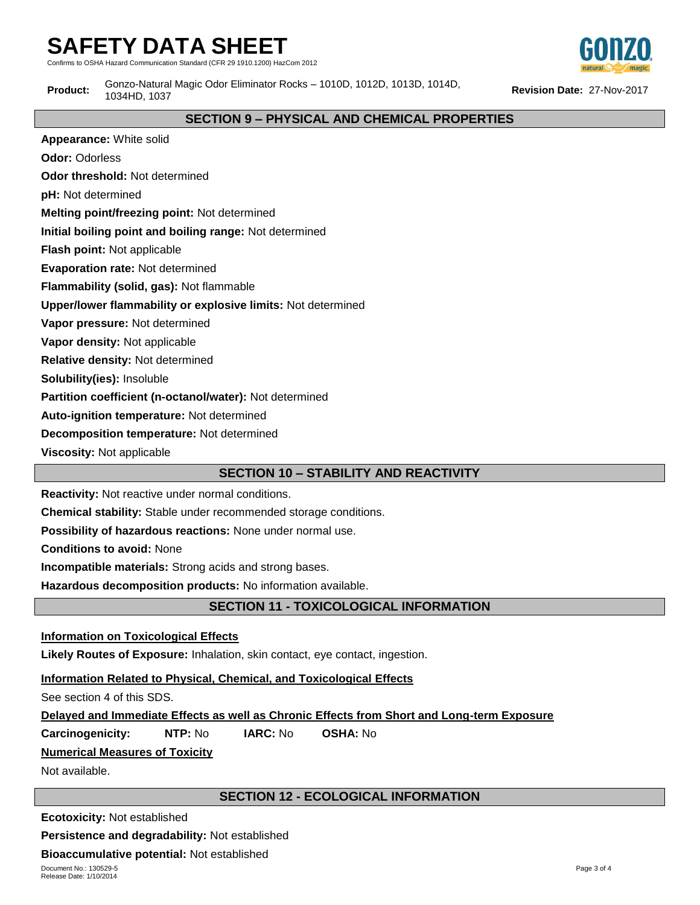**Hazard Communication Standard (CFR 29 1910.1200) HazCom 2012** 



**SECTION 9 – PHYSICAL AND CHEMICAL PROPERTIES** 

**Appearance:** White solid **Odor:** Odorless **Odor threshold:** Not determined **pH:** Not determined **Melting point/freezing point:** Not determined **Initial boiling point and boiling range:** Not determined **Flash point:** Not applicable **Evaporation rate:** Not determined **Flammability (solid, gas):** Not flammable **Upper/lower flammability or explosive limits:** Not determined **Vapor pressure:** Not determined **Vapor density:** Not applicable **Relative density:** Not determined **Solubility(ies):** Insoluble **Partition coefficient (n-octanol/water):** Not determined **Auto-ignition temperature:** Not determined **Decomposition temperature:** Not determined

**Viscosity:** Not applicable

## **SECTION 10 – STABILITY AND REACTIVITY**

**Reactivity:** Not reactive under normal conditions.

**Chemical stability:** Stable under recommended storage conditions.

**Possibility of hazardous reactions:** None under normal use.

**Conditions to avoid:** None

**Incompatible materials:** Strong acids and strong bases.

**Hazardous decomposition products:** No information available.

## **SECTION 11 - TOXICOLOGICAL INFORMATION**

## **Information on Toxicological Effects**

**Likely Routes of Exposure:** Inhalation, skin contact, eye contact, ingestion.

## **Information Related to Physical, Chemical, and Toxicological Effects**

See section 4 of this SDS.

**Delayed and Immediate Effects as well as Chronic Effects from Short and Long-term Exposure**

**Carcinogenicity: NTP:** No **IARC:** No **OSHA:** No

## **Numerical Measures of Toxicity**

Not available.

## **SECTION 12 - ECOLOGICAL INFORMATION**

**Ecotoxicity:** Not established

**Persistence and degradability:** Not established

**Bioaccumulative potential:** Not established